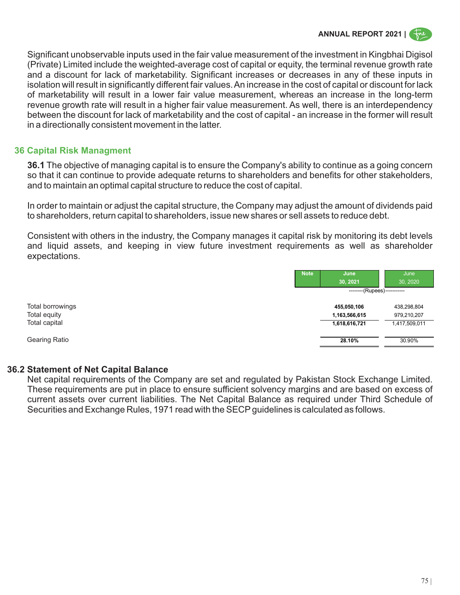# **ANNUAL REPORT 2021 |**

Significant unobservable inputs used in the fair value measurement of the investment in Kingbhai Digisol (Private) Limited include the weighted-average cost of capital or equity, the terminal revenue growth rate and a discount for lack of marketability. Significant increases or decreases in any of these inputs in isolation will result in significantly different fair values. An increase in the cost of capital or discount for lack of marketability will result in a lower fair value measurement, whereas an increase in the long-term revenue growth rate will result in a higher fair value measurement. As well, there is an interdependency between the discount for lack of marketability and the cost of capital - an increase in the former will result in a directionally consistent movement in the latter.

## **36 Capital Risk Managment**

**36.1** The objective of managing capital is to ensure the Company's ability to continue as a going concern so that it can continue to provide adequate returns to shareholders and benefits for other stakeholders, and to maintain an optimal capital structure to reduce the cost of capital.

In order to maintain or adjust the capital structure, the Company may adjust the amount of dividends paid to shareholders, return capital to shareholders, issue new shares or sell assets to reduce debt.

Consistent with others in the industry, the Company manages it capital risk by monitoring its debt levels and liquid assets, and keeping in view future investment requirements as well as shareholder expectations.

|                  | <b>Note</b> | June<br>30, 2021            | June<br>30, 2020 |  |
|------------------|-------------|-----------------------------|------------------|--|
|                  |             | --------(Rupees)----------- |                  |  |
| Total borrowings |             | 455,050,106                 | 438,298,804      |  |
| Total equity     |             | 1,163,566,615               | 979,210,207      |  |
| Total capital    |             | 1,618,616,721               | 1,417,509,011    |  |
| Gearing Ratio    |             | 28.10%                      | 30.90%           |  |

#### **36.2 Statement of Net Capital Balance**

Net capital requirements of the Company are set and regulated by Pakistan Stock Exchange Limited. These requirements are put in place to ensure sufficient solvency margins and are based on excess of current assets over current liabilities. The Net Capital Balance as required under Third Schedule of Securities and Exchange Rules, 1971 read with the SECP quidelines is calculated as follows.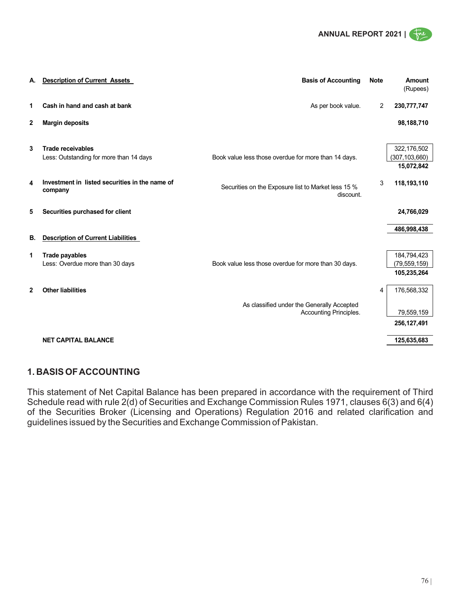

| А.           | <b>Description of Current Assets</b>                                | <b>Basis of Accounting</b>                                           | <b>Note</b> | Amount<br>(Rupees)                           |
|--------------|---------------------------------------------------------------------|----------------------------------------------------------------------|-------------|----------------------------------------------|
| 1            | Cash in hand and cash at bank                                       | As per book value.                                                   | 2           | 230,777,747                                  |
| $\mathbf{2}$ | <b>Margin deposits</b>                                              |                                                                      |             | 98,188,710                                   |
| 3            | <b>Trade receivables</b><br>Less: Outstanding for more than 14 days | Book value less those overdue for more than 14 days.                 |             | 322,176,502<br>(307, 103, 660)<br>15,072,842 |
| 4            | Investment in listed securities in the name of<br>company           | Securities on the Exposure list to Market less 15 %<br>discount.     | 3           | 118,193,110                                  |
| 5            | Securities purchased for client                                     |                                                                      |             | 24,766,029                                   |
| В.           | <b>Description of Current Liabilities</b>                           |                                                                      |             | 486,998,438                                  |
| 1            | <b>Trade payables</b><br>Less: Overdue more than 30 days            | Book value less those overdue for more than 30 days.                 |             | 184,794,423<br>(79, 559, 159)<br>105,235,264 |
| $\mathbf{2}$ | <b>Other liabilities</b>                                            | As classified under the Generally Accepted<br>Accounting Principles. | 4           | 176,568,332<br>79,559,159<br>256, 127, 491   |
|              | <b>NET CAPITAL BALANCE</b>                                          |                                                                      |             | 125,635,683                                  |

### **1. BASIS OF ACCOUNTING**

This statement of Net Capital Balance has been prepared in accordance with the requirement of Third Schedule read with rule 2(d) of Securities and Exchange Commission Rules 1971, clauses 6(3) and 6(4) of the Securities Broker (Licensing and Operations) Regulation 2016 and related clarification and guidelines issued by the Securities and Exchange Commission of Pakistan.